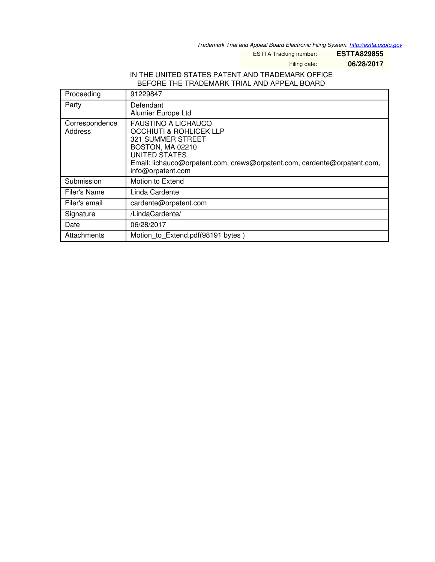*Trademark Trial and Appeal Board Electronic Filing System. <http://estta.uspto.gov>*

ESTTA Tracking number: **ESTTA829855**

Filing date: **06/28/2017**

## IN THE UNITED STATES PATENT AND TRADEMARK OFFICE BEFORE THE TRADEMARK TRIAL AND APPEAL BOARD

| Proceeding                | 91229847                                                                                                                                                                                                                                  |
|---------------------------|-------------------------------------------------------------------------------------------------------------------------------------------------------------------------------------------------------------------------------------------|
| Party                     | Defendant<br>Alumier Europe Ltd                                                                                                                                                                                                           |
| Correspondence<br>Address | <b>FAUSTINO A LICHAUCO</b><br><b>OCCHIUTI &amp; ROHLICEK LLP</b><br><b>321 SUMMER STREET</b><br>BOSTON, MA 02210<br><b>UNITED STATES</b><br>Email: lichauco@orpatent.com, crews@orpatent.com, cardente@orpatent.com,<br>info@orpatent.com |
| Submission                | Motion to Extend                                                                                                                                                                                                                          |
| Filer's Name              | Linda Cardente                                                                                                                                                                                                                            |
| Filer's email             | cardente@orpatent.com                                                                                                                                                                                                                     |
| Signature                 | /LindaCardente/                                                                                                                                                                                                                           |
| Date                      | 06/28/2017                                                                                                                                                                                                                                |
| Attachments               | Motion_to_Extend.pdf(98191 bytes)                                                                                                                                                                                                         |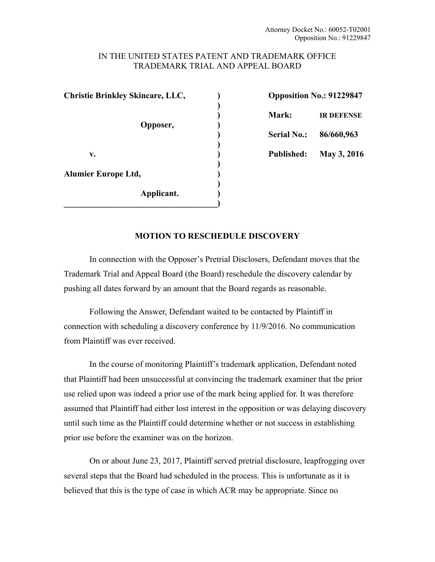#### IN THE UNITED STATES PATENT AND TRADEMARK OFFICE TRADEMARK TRIAL AND APPEAL BOARD

**Christie Brinkley Skincare, LLC, ) Opposition No.: 91229847 ) Opposer,** )  **) v. ) Published: May 3, 2016 )**  Alumier Europe Ltd, **(1) ) Applicant. ) \_\_\_\_\_\_\_\_\_\_\_\_\_\_\_\_\_\_\_\_\_\_\_\_\_\_\_\_\_\_\_\_\_\_\_\_)** 

 **) Mark: IR DEFENSE ) Serial No.: 86/660,963** 

## **MOTION TO RESCHEDULE DISCOVERY**

In connection with the Opposer's Pretrial Disclosers, Defendant moves that the Trademark Trial and Appeal Board (the Board) reschedule the discovery calendar by pushing all dates forward by an amount that the Board regards as reasonable.

Following the Answer, Defendant waited to be contacted by Plaintiff in connection with scheduling a discovery conference by 11/9/2016. No communication from Plaintiff was ever received.

In the course of monitoring Plaintiff's trademark application, Defendant noted that Plaintiff had been unsuccessful at convincing the trademark examiner that the prior use relied upon was indeed a prior use of the mark being applied for. It was therefore assumed that Plaintiff had either lost interest in the opposition or was delaying discovery until such time as the Plaintiff could determine whether or not success in establishing prior use before the examiner was on the horizon.

On or about June 23, 2017, Plaintiff served pretrial disclosure, leapfrogging over several steps that the Board had scheduled in the process. This is unfortunate as it is believed that this is the type of case in which ACR may be appropriate. Since no